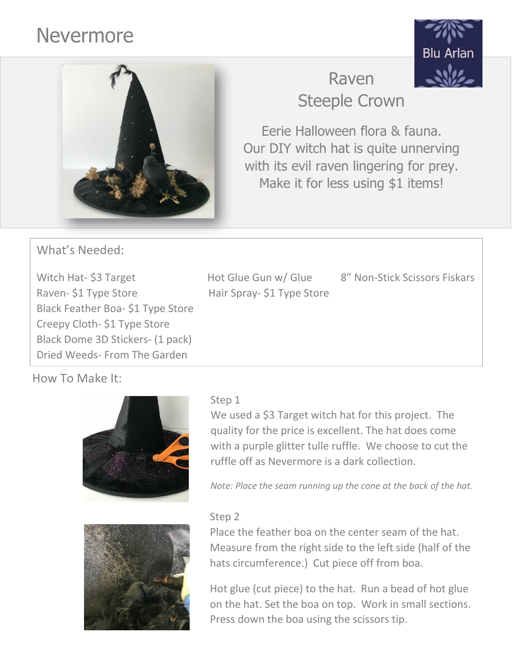# Nevermore





## Raven Steeple Crown

Eerie Halloween flora & fauna. Our DIY witch hat is quite unnerving with its evil raven lingering for prey. Make it for less using \$1 items!

What's Needed:

Witch Hat- \$3 Target Hot Glue Gun w/ Glue 8" Non-Stick Scissors Fiskars Raven- \$1 Type Store Hair Spray- \$1 Type Store Black Feather Boa- \$1 Type Store Creepy Cloth- \$1 Type Store Black Dome 3D Stickers- (1 pack) Dried Weeds- From The Garden

How To Make It:



We used a \$3 Target witch hat for this project. The quality for the price is excellent. The hat does come with a purple glitter tulle ruffle. We choose to cut the ruffle off as Nevermore is a dark collection.

*Note: Place the seam running up the cone at the back of the hat.*

#### Step 2



Place the feather boa on the center seam of the hat. Measure from the right side to the left side (half of the hats circumference.) Cut piece off from boa.

Hot glue (cut piece) to the hat. Run a bead of hot glue on the hat. Set the boa on top. Work in small sections. Press down the boa using the scissors tip.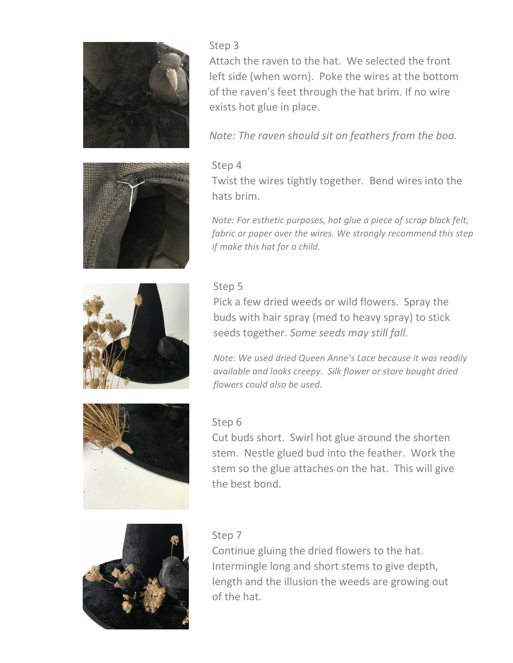







#### Step 3

Attach the raven to the hat. We selected the front left side (when worn). Poke the wires at the bottom of the raven's feet through the hat brim. If no wire exists hot glue in place.

*Note: The raven should sit on feathers from the boa.*

#### Step 4

Twist the wires tightly together. Bend wires into the hats brim.

*Note: For esthetic purposes, hot glue a piece of scrap black felt, fabric or paper over the wires. We strongly recommend this step if make this hat for a child.*

### Step 5

Pick a few dried weeds or wild flowers. Spray the buds with hair spray (med to heavy spray) to stick seeds together. *Some seeds may still fall.*

*Note: We used dried Queen Anne's Lace because it was readily available and looks creepy. Silk flower or store bought dried flowers could also be used.* 

#### Step 6

Cut buds short. Swirl hot glue around the shorten stem. Nestle glued bud into the feather. Work the stem so the glue attaches on the hat. This will give the best bond.



#### Step 7

Continue gluing the dried flowers to the hat. Intermingle long and short stems to give depth, length and the illusion the weeds are growing out of the hat.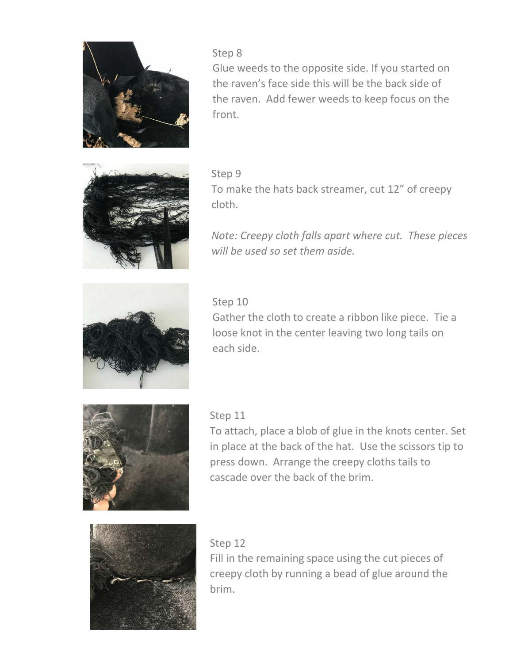

Step 8

Glue weeds to the opposite side. If you started on the raven's face side this will be the back side of the raven. Add fewer weeds to keep focus on the front.



#### Step 9

To make the hats back streamer, cut 12" of creepy cloth.

*Note: Creepy cloth falls apart where cut. These pieces will be used so set them aside.*



#### Step 10

Gather the cloth to create a ribbon like piece. Tie a loose knot in the center leaving two long tails on each side.



#### Step 11

To attach, place a blob of glue in the knots center. Set in place at the back of the hat. Use the scissors tip to press down. Arrange the creepy cloths tails to cascade over the back of the brim.



#### Step 12

Fill in the remaining space using the cut pieces of creepy cloth by running a bead of glue around the brim.